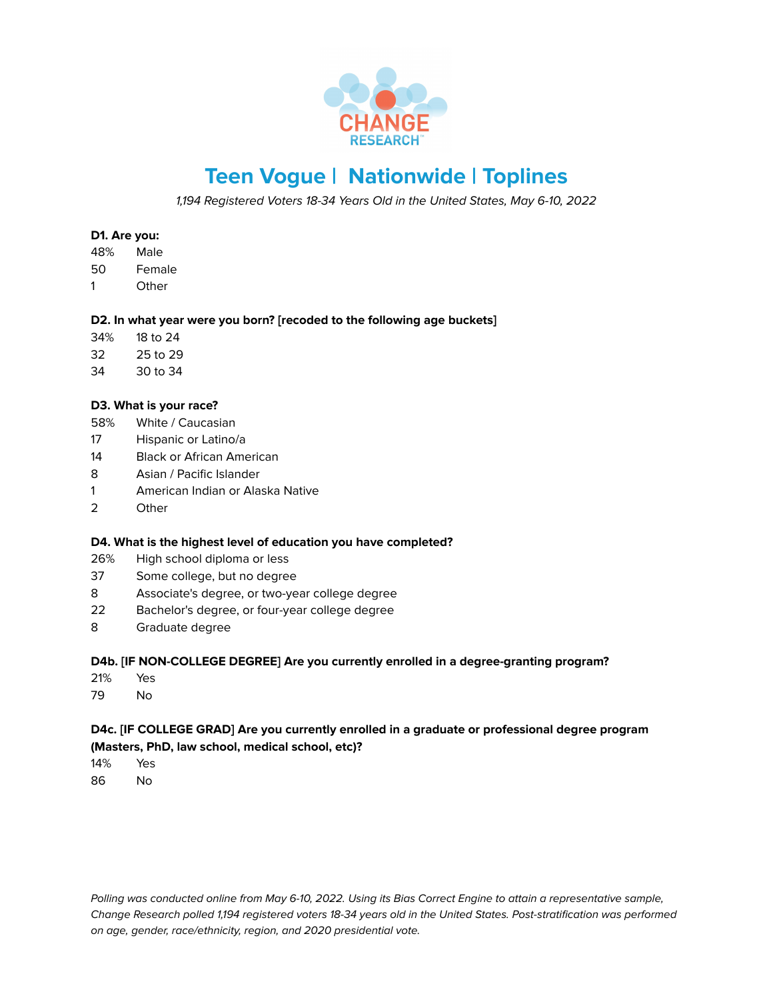

# **Teen Vogue | Nationwide | Toplines**

1,194 Registered Voters 18-34 Years Old in the United States, May 6-10, 2022

# **D1. Are you:**

- 48% Male
- 50 Female
- 1 Other

# **D2. In what year were you born? [recoded to the following age buckets]**

- 34% 18 to 24
- 32 25 to 29
- 34 30 to 34

# **D3. What is your race?**

- 58% White / Caucasian
- 17 Hispanic or Latino/a
- 14 Black or African American
- 8 Asian / Pacific Islander
- 1 American Indian or Alaska Native
- 2 Other

#### **D4. What is the highest level of education you have completed?**

- 26% High school diploma or less
- 37 Some college, but no degree
- 8 Associate's degree, or two-year college degree
- 22 Bachelor's degree, or four-year college degree
- 8 Graduate degree

# **D4b. [IF NON-COLLEGE DEGREE] Are you currently enrolled in a degree-granting program?**

- 21% Yes
- 79 No

# **D4c. [IF COLLEGE GRAD] Are you currently enrolled in a graduate or professional degree program (Masters, PhD, law school, medical school, etc)?**

- 14% Yes
- 86 No

Polling was conducted online from May 6-10, 2022. Using its Bias Correct Engine to attain a representative sample, Change Research polled 1,194 registered voters 18-34 years old in the United States. Post-stratification was performed on age, gender, race/ethnicity, region, and 2020 presidential vote.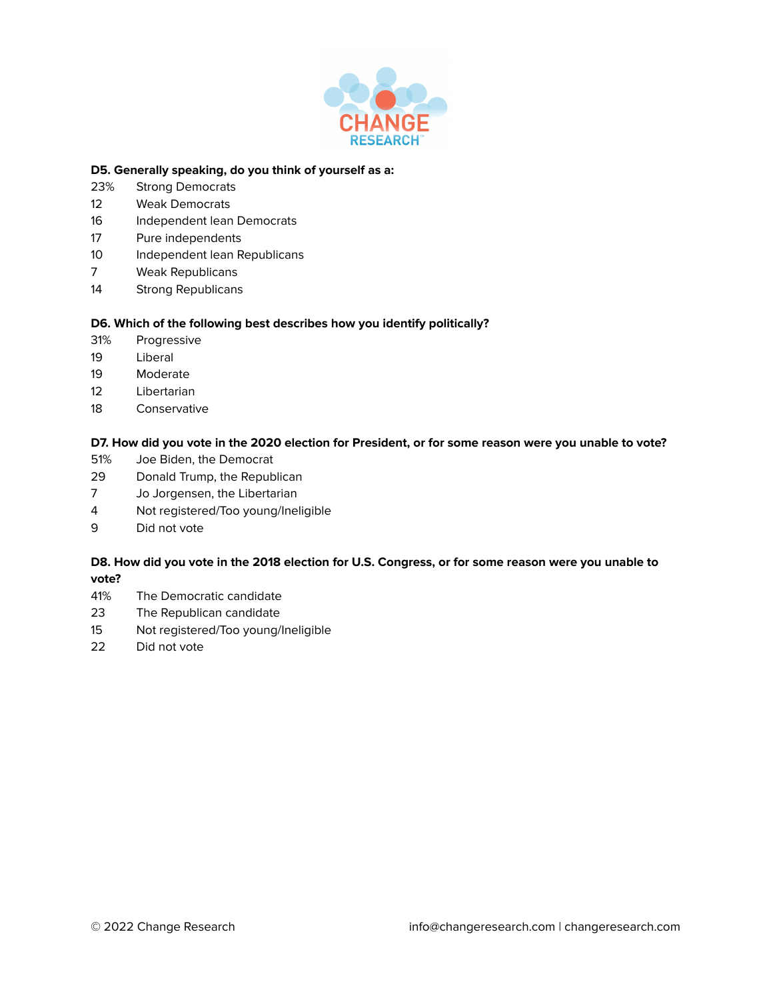

#### **D5. Generally speaking, do you think of yourself as a:**

- 23% Strong Democrats
- 12 Weak Democrats
- 16 Independent lean Democrats
- 17 Pure independents
- 10 Independent lean Republicans
- 7 Weak Republicans
- 14 Strong Republicans

#### **D6. Which of the following best describes how you identify politically?**

- 31% Progressive
- 19 Liberal
- 19 Moderate
- 12 Libertarian
- 18 Conservative

#### D7. How did you vote in the 2020 election for President, or for some reason were you unable to vote?

- 51% Joe Biden, the Democrat
- 29 Donald Trump, the Republican
- 7 Jo Jorgensen, the Libertarian
- 4 Not registered/Too young/Ineligible
- 9 Did not vote

# D8. How did you vote in the 2018 election for U.S. Congress, or for some reason were you unable to **vote?**

- 41% The Democratic candidate
- 23 The Republican candidate
- 15 Not registered/Too young/Ineligible
- 22 Did not vote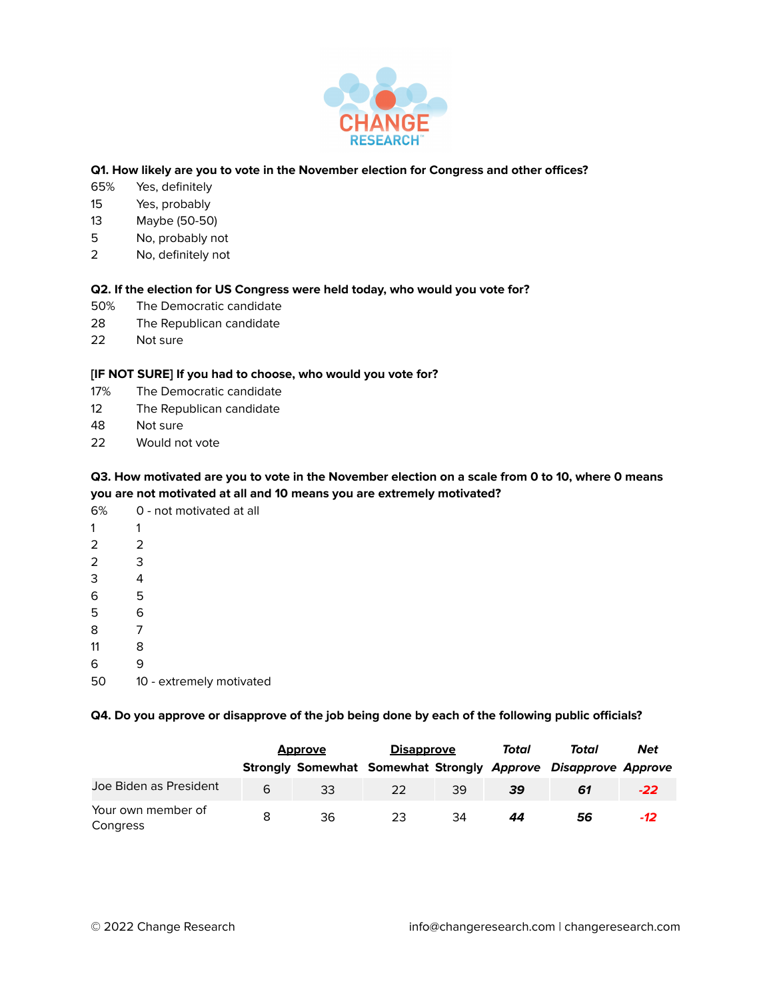

# **Q1. How likely are you to vote in the November election for Congress and other offices?**

- 65% Yes, definitely
- 15 Yes, probably
- 13 Maybe (50-50)
- 5 No, probably not
- 2 No, definitely not

#### **Q2. If the election for US Congress were held today, who would you vote for?**

- 50% The Democratic candidate
- 28 The Republican candidate
- 22 Not sure

# **[IF NOT SURE] If you had to choose, who would you vote for?**

- 17% The Democratic candidate
- 12 The Republican candidate
- 48 Not sure
- 22 Would not vote

# Q3. How motivated are you to vote in the November election on a scale from 0 to 10, where 0 means **you are not motivated at all and 10 means you are extremely motivated?**

| 6%             | 0 - not motivated at all |
|----------------|--------------------------|
| 1              | 1                        |
| $\overline{2}$ | 2                        |
| $\overline{2}$ | 3                        |
| 3              | 4                        |
| 6              | 5                        |
| 5              | 6                        |
| 8              | 7                        |
| 11             | 8                        |
| 6              | g                        |
|                |                          |

50 10 - extremely motivated

### **Q4. Do you approve or disapprove of the job being done by each of the following public officials?**

|                                | <b>Approve</b> |    | <b>Disapprove</b> |    | Total | Total                                                          | <b>Net</b> |
|--------------------------------|----------------|----|-------------------|----|-------|----------------------------------------------------------------|------------|
|                                |                |    |                   |    |       | Strongly Somewhat Somewhat Strongly Approve Disapprove Approve |            |
| Joe Biden as President         | 6              | 33 | 22                | 39 | 39    | 61                                                             | $-22$      |
| Your own member of<br>Congress | 8              | 36 | 23                | 34 | 44    | 56                                                             | $-12$      |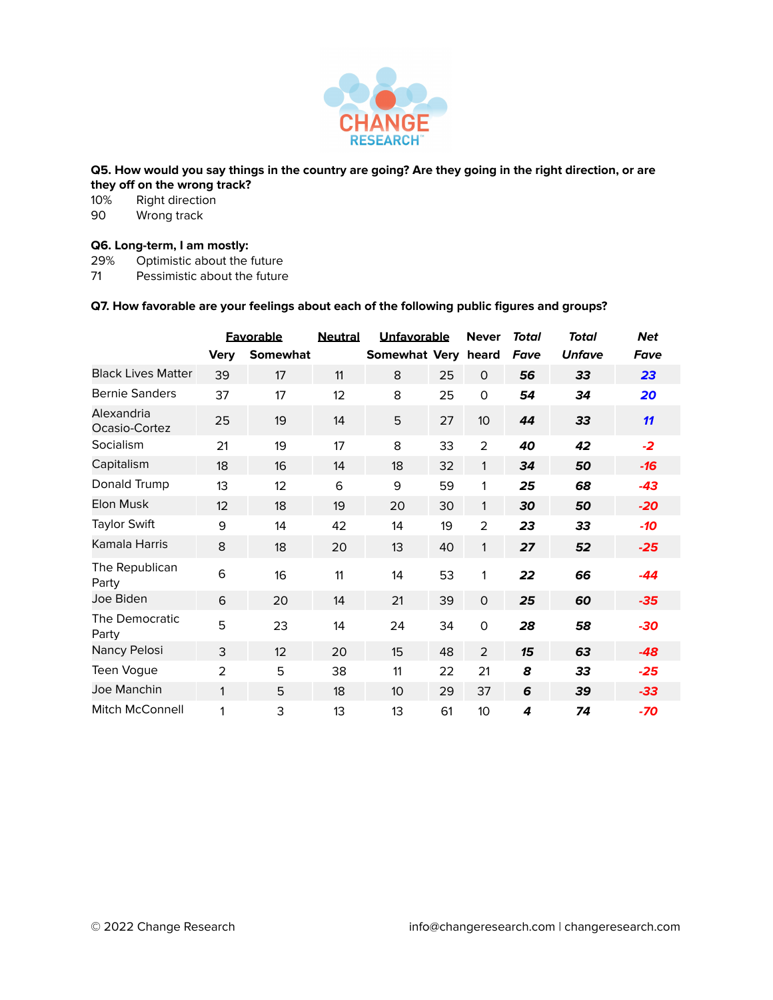

#### Q5. How would you say things in the country are going? Are they going in the right direction, or are **they off on the wrong track?**

10% Right direction<br>90 Wrong track Wrong track

# **Q6. Long-term, I am mostly:**

29% Optimistic about the future<br>71 Pessimistic about the future

Pessimistic about the future

## **Q7. How favorable are your feelings about each of the following public figures and groups?**

|                             |                | <b>Favorable</b> | <b>Neutral</b> | Unfavorable         |    | <b>Never</b>    | Total | <b>Total</b>  | <b>Net</b> |
|-----------------------------|----------------|------------------|----------------|---------------------|----|-----------------|-------|---------------|------------|
|                             | <b>Very</b>    | Somewhat         |                | Somewhat Very heard |    |                 | Fave  | <b>Unfave</b> | Fave       |
| <b>Black Lives Matter</b>   | 39             | 17               | 11             | 8                   | 25 | $\mathbf{O}$    | 56    | 33            | 23         |
| <b>Bernie Sanders</b>       | 37             | 17               | 12             | 8                   | 25 | 0               | 54    | 34            | 20         |
| Alexandria<br>Ocasio-Cortez | 25             | 19               | 14             | 5                   | 27 | 10 <sup>°</sup> | 44    | 33            | 11         |
| Socialism                   | 21             | 19               | 17             | 8                   | 33 | 2               | 40    | 42            | $-2$       |
| Capitalism                  | 18             | 16               | 14             | 18                  | 32 | 1               | 34    | 50            | -16        |
| Donald Trump                | 13             | 12               | 6              | 9                   | 59 | 1               | 25    | 68            | $-43$      |
| Elon Musk                   | 12             | 18               | 19             | 20                  | 30 | 1               | 30    | 50            | $-20$      |
| <b>Taylor Swift</b>         | 9              | 14               | 42             | 14                  | 19 | 2               | 23    | 33            | $-10$      |
| Kamala Harris               | 8              | 18               | 20             | 13                  | 40 | 1               | 27    | 52            | $-25$      |
| The Republican<br>Party     | 6              | 16               | 11             | 14                  | 53 | 1               | 22    | 66            | -44        |
| Joe Biden                   | 6              | 20               | 14             | 21                  | 39 | $\mathsf{O}$    | 25    | 60            | $-35$      |
| The Democratic<br>Party     | 5              | 23               | 14             | 24                  | 34 | 0               | 28    | 58            | $-30$      |
| Nancy Pelosi                | 3              | 12               | 20             | 15                  | 48 | $\overline{2}$  | 15    | 63            | $-48$      |
| Teen Vogue                  | $\overline{2}$ | 5                | 38             | 11                  | 22 | 21              | 8     | 33            | $-25$      |
| Joe Manchin                 | 1              | 5                | 18             | 10 <sup>1</sup>     | 29 | 37              | 6     | 39            | $-33$      |
| Mitch McConnell             | 1              | 3                | 13             | 13                  | 61 | 10              | 4     | 74            | -70        |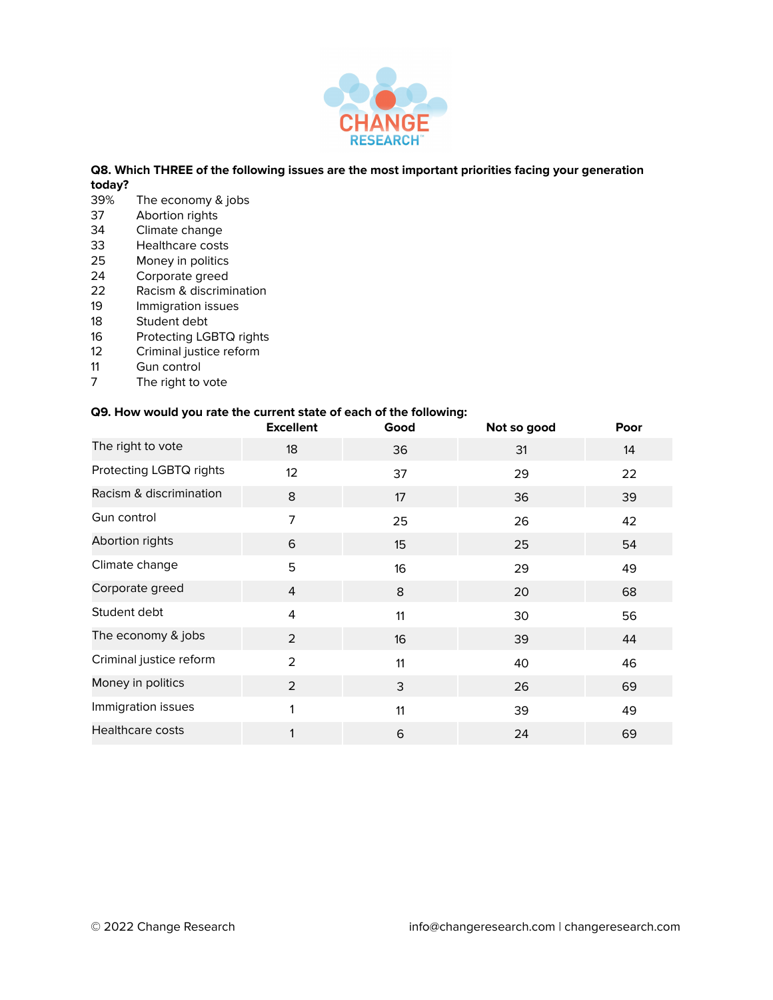

# **Q8. Which THREE of the following issues are the most important priorities facing your generation today?**

- 39% The economy & jobs<br>37 Abortion rights
- Abortion rights
- 34 Climate change<br>33 Healthcare costs
- Healthcare costs
- 25 Money in politics
- 24 Corporate greed<br>22 Racism & discrimi
- Racism & discrimination
- 19 Immigration issues<br>18 Student debt
- Student debt
- 16 Protecting LGBTQ rights<br>12 Criminal justice reform
- Criminal justice reform
- 11 Gun control<br>7 The right to
- The right to vote

#### **Q9. How would you rate the current state of each of the following:**

|                         | <b>Excellent</b> | Good | Not so good | Poor |
|-------------------------|------------------|------|-------------|------|
| The right to vote       | 18               | 36   | 31          | 14   |
| Protecting LGBTQ rights | 12               | 37   | 29          | 22   |
| Racism & discrimination | 8                | 17   | 36          | 39   |
| Gun control             | $\overline{7}$   | 25   | 26          | 42   |
| Abortion rights         | 6                | 15   | 25          | 54   |
| Climate change          | 5                | 16   | 29          | 49   |
| Corporate greed         | 4                | 8    | 20          | 68   |
| Student debt            | 4                | 11   | 30          | 56   |
| The economy & jobs      | 2                | 16   | 39          | 44   |
| Criminal justice reform | 2                | 11   | 40          | 46   |
| Money in politics       | 2                | 3    | 26          | 69   |
| Immigration issues      |                  | 11   | 39          | 49   |
| <b>Healthcare costs</b> |                  | 6    | 24          | 69   |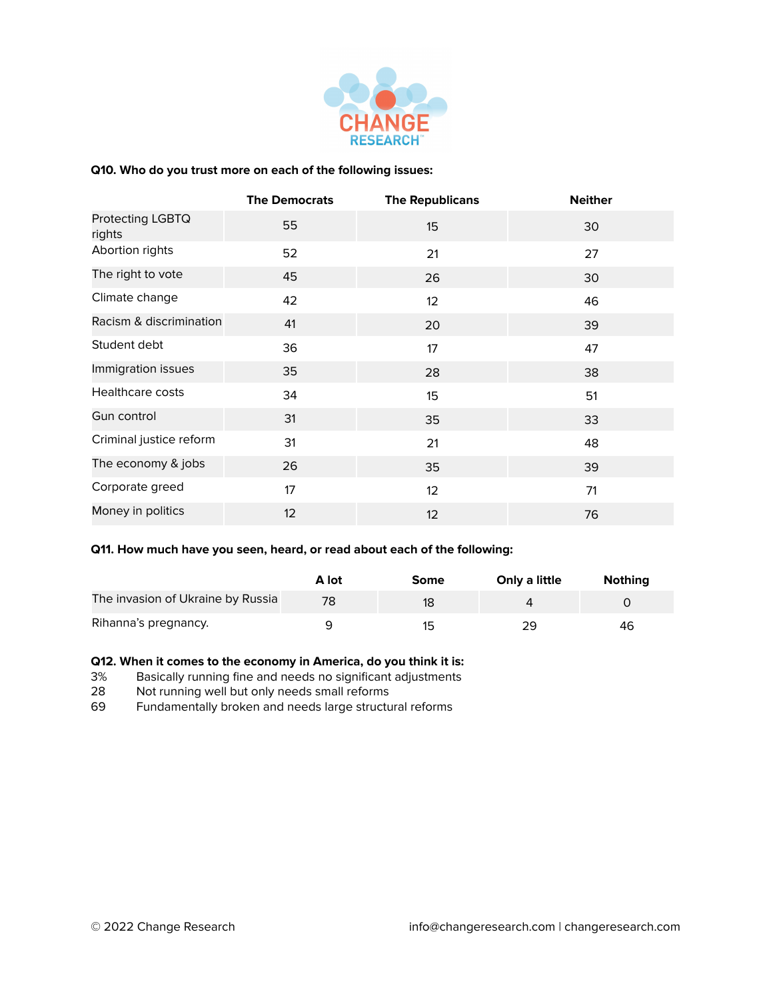

#### **Q10. Who do you trust more on each of the following issues:**

|                            | <b>The Democrats</b> | <b>The Republicans</b> | <b>Neither</b> |
|----------------------------|----------------------|------------------------|----------------|
| Protecting LGBTQ<br>rights | 55                   | 15                     | 30             |
| Abortion rights            | 52                   | 21                     | 27             |
| The right to vote          | 45                   | 26                     | 30             |
| Climate change             | 42                   | 12                     | 46             |
| Racism & discrimination    | 41                   | 20                     | 39             |
| Student debt               | 36                   | 17                     | 47             |
| Immigration issues         | 35                   | 28                     | 38             |
| Healthcare costs           | 34                   | 15                     | 51             |
| Gun control                | 31                   | 35                     | 33             |
| Criminal justice reform    | 31                   | 21                     | 48             |
| The economy & jobs         | 26                   | 35                     | 39             |
| Corporate greed            | 17                   | 12                     | 71             |
| Money in politics          | 12                   | 12                     | 76             |

#### **Q11. How much have you seen, heard, or read about each of the following:**

|                                   | A lot | Some | Only a little | <b>Nothing</b> |
|-----------------------------------|-------|------|---------------|----------------|
| The invasion of Ukraine by Russia | 78    | 18   |               |                |
| Rihanna's pregnancy.              |       | 1도   | 29            | 46             |

#### **Q12. When it comes to the economy in America, do you think it is:**

3% Basically running fine and needs no significant adjustments<br>28 Not running well but only needs small reforms

Not running well but only needs small reforms

69 Fundamentally broken and needs large structural reforms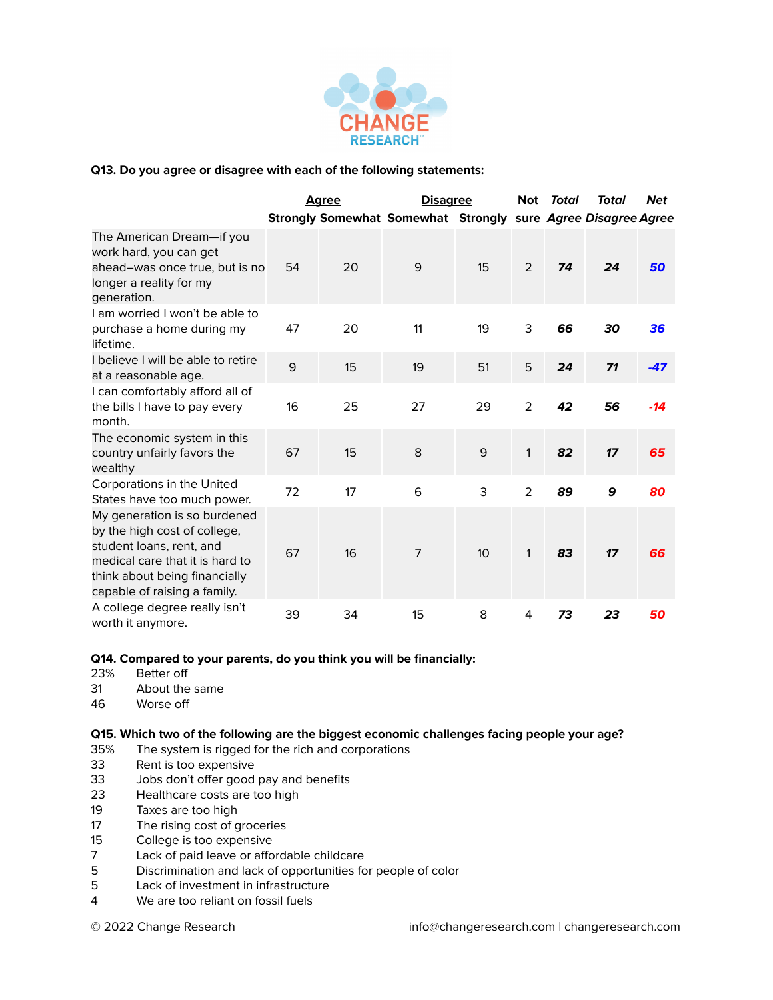

# **Q13. Do you agree or disagree with each of the following statements:**

|                                                                                                                                                                                              |    | <u>Aaree</u> | <b>Disagree</b>                                               |    | Not            | Total | Total | <b>Net</b> |
|----------------------------------------------------------------------------------------------------------------------------------------------------------------------------------------------|----|--------------|---------------------------------------------------------------|----|----------------|-------|-------|------------|
|                                                                                                                                                                                              |    |              | Strongly Somewhat Somewhat Strongly sure Agree Disagree Agree |    |                |       |       |            |
| The American Dream—if you<br>work hard, you can get<br>ahead-was once true, but is no<br>longer a reality for my<br>generation.                                                              | 54 | 20           | 9                                                             | 15 | $\overline{2}$ | 74    | 24    | 50         |
| I am worried I won't be able to<br>purchase a home during my<br>lifetime.                                                                                                                    | 47 | 20           | 11                                                            | 19 | 3              | 66    | 30    | 36         |
| I believe I will be able to retire<br>at a reasonable age.                                                                                                                                   | 9  | 15           | 19                                                            | 51 | 5              | 24    | 71    | $-47$      |
| I can comfortably afford all of<br>the bills I have to pay every<br>month.                                                                                                                   | 16 | 25           | 27                                                            | 29 | 2              | 42    | 56    | $-14$      |
| The economic system in this<br>country unfairly favors the<br>wealthy                                                                                                                        | 67 | 15           | 8                                                             | 9  | 1              | 82    | 17    | 65         |
| Corporations in the United<br>States have too much power.                                                                                                                                    | 72 | 17           | 6                                                             | 3  | $\overline{2}$ | 89    | 9     | 80         |
| My generation is so burdened<br>by the high cost of college,<br>student loans, rent, and<br>medical care that it is hard to<br>think about being financially<br>capable of raising a family. | 67 | 16           | $\overline{7}$                                                | 10 | 1              | 83    | 17    | 66         |
| A college degree really isn't<br>worth it anymore.                                                                                                                                           | 39 | 34           | 15                                                            | 8  | 4              | 73    | 23    | 50         |

#### **Q14. Compared to your parents, do you think you will be financially:**

- 23% Better off
- 31 About the same
- 46 Worse off

#### **Q15. Which two of the following are the biggest economic challenges facing people your age?**

- 35% The system is rigged for the rich and corporations
- 33 Rent is too expensive
- 33 Jobs don't offer good pay and benefits
- 23 Healthcare costs are too high
- 19 Taxes are too high
- 17 The rising cost of groceries
- 15 College is too expensive<br>7 Lack of paid leave or affo
- Lack of paid leave or affordable childcare
- 5 Discrimination and lack of opportunities for people of color
- Lack of investment in infrastructure
- 4 We are too reliant on fossil fuels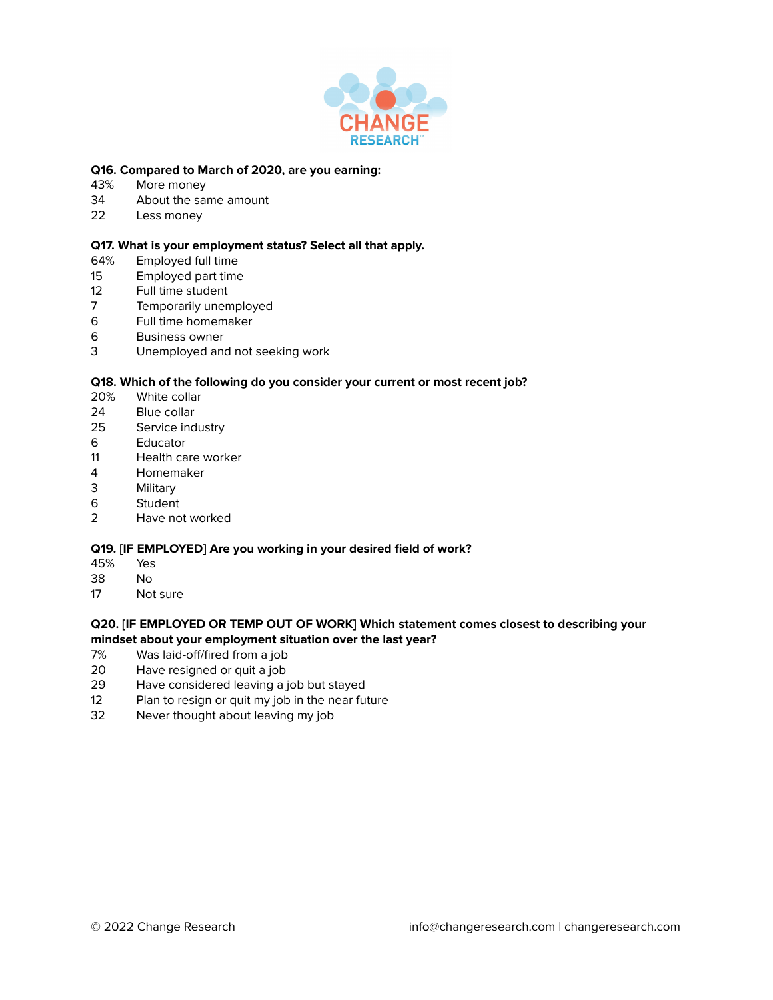

### **Q16. Compared to March of 2020, are you earning:**

- 43% More money
- 34 About the same amount
- 22 Less money

### **Q17. What is your employment status? Select all that apply.**

- 64% Employed full time
- 15 Employed part time
- 12 Full time student<br>7 Temporarily unen
- 7 Temporarily unemployed
- 6 Full time homemaker
- 6 Business owner
- 3 Unemployed and not seeking work

#### **Q18. Which of the following do you consider your current or most recent job?**

- 20% White collar
- 24 Blue collar
- 25 Service industry
- 6 Educator<br>11 Health ca
- Health care worker
- 4 Homemaker
- 3 Military
- 6 Student
- 2 Have not worked

#### **Q19. [IF EMPLOYED] Are you working in your desired field of work?**

- 45% Yes
- 38 No
- 17 Not sure

#### **Q20. [IF EMPLOYED OR TEMP OUT OF WORK] Which statement comes closest to describing your mindset about your employment situation over the last year?**

- 7% Was laid-off/fired from a job
- 20 Have resigned or quit a job
- 29 Have considered leaving a job but stayed
- 12 Plan to resign or quit my job in the near future<br>32 Never thought about leaving my job
- Never thought about leaving my job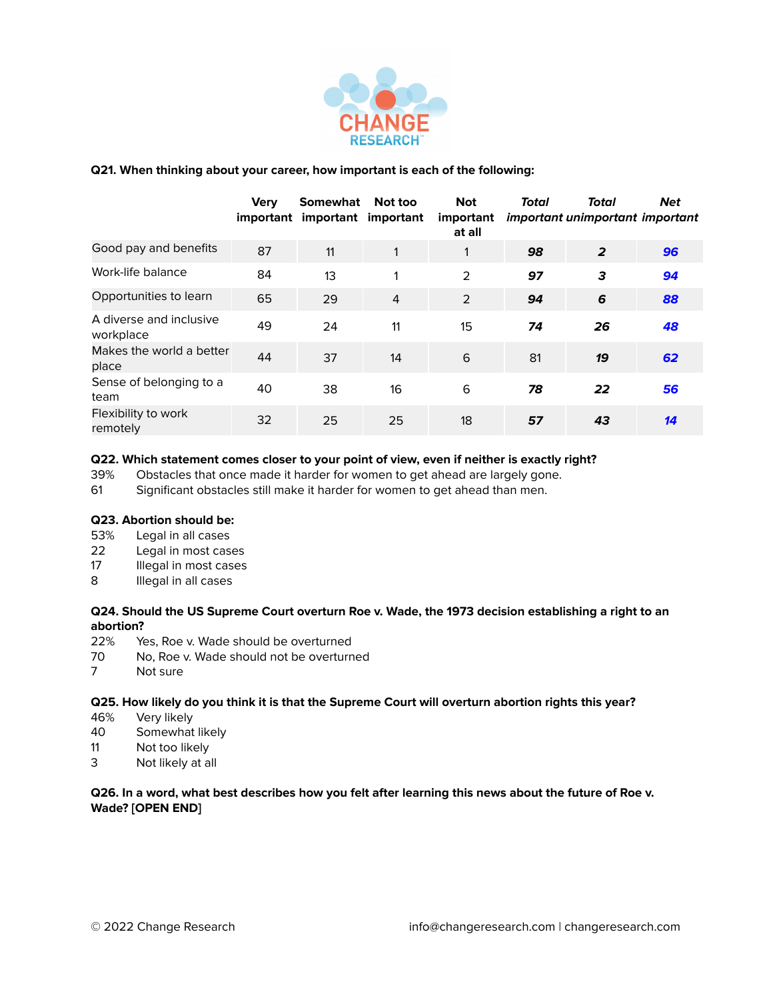

# **Q21. When thinking about your career, how important is each of the following:**

|                                      | <b>Very</b><br>important | <b>Somewhat</b><br>important important | Not too        | <b>Not</b><br>important<br>at all | Total | Total<br>important unimportant important | <b>Net</b>      |
|--------------------------------------|--------------------------|----------------------------------------|----------------|-----------------------------------|-------|------------------------------------------|-----------------|
| Good pay and benefits                | 87                       | 11                                     |                |                                   | 98    | $\overline{2}$                           | 96              |
| Work-life balance                    | 84                       | 13                                     | 1              | 2                                 | 97    | 3                                        | 94              |
| Opportunities to learn               | 65                       | 29                                     | $\overline{4}$ | 2                                 | 94    | 6                                        | 88              |
| A diverse and inclusive<br>workplace | 49                       | 24                                     | 11             | 15                                | 74    | 26                                       | 48              |
| Makes the world a better<br>place    | 44                       | 37                                     | 14             | 6                                 | 81    | 19                                       | 62              |
| Sense of belonging to a<br>team      | 40                       | 38                                     | 16             | 6                                 | 78    | 22                                       | 56              |
| Flexibility to work<br>remotely      | 32                       | 25                                     | 25             | 18                                | 57    | 43                                       | $\overline{14}$ |

#### **Q22. Which statement comes closer to your point of view, even if neither is exactly right?**

39% Obstacles that once made it harder for women to get ahead are largely gone.

61 Significant obstacles still make it harder for women to get ahead than men.

# **Q23. Abortion should be:**

- 53% Legal in all cases
- 22 Legal in most cases
- 17 Illegal in most cases
- 8 Illegal in all cases

# Q24. Should the US Supreme Court overturn Roe v. Wade, the 1973 decision establishing a right to an **abortion?**

- 22% Yes, Roe v. Wade should be overturned
- 70 No, Roe v. Wade should not be overturned
- 7 Not sure

### **Q25. How likely do you think it is that the Supreme Court will overturn abortion rights this year?**

- 46% Very likely
- 40 Somewhat likely
- 11 Not too likely
- 3 Not likely at all

#### Q26. In a word, what best describes how you felt after learning this news about the future of Roe v. **Wade? [OPEN END]**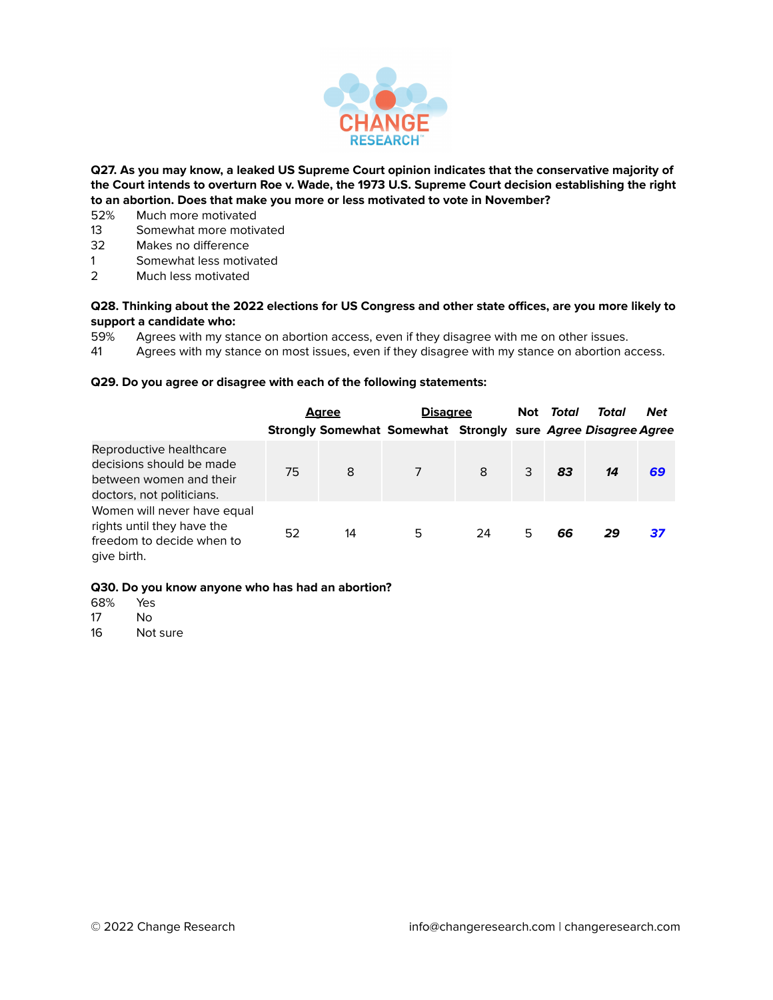

**Q27. As you may know, a leaked US Supreme Court opinion indicates that the conservative majority of the Court intends to overturn Roe v. Wade, the 1973 U.S. Supreme Court decision establishing the right to an abortion. Does that make you more or less motivated to vote in November?**

- 52% Much more motivated
- 13 Somewhat more motivated<br>32 Makes no difference
- Makes no difference
- 1 Somewhat less motivated
- 2 Much less motivated

#### Q28. Thinking about the 2022 elections for US Congress and other state offices, are you more likely to **support a candidate who:**

59% Agrees with my stance on abortion access, even if they disagree with me on other issues.

41 Agrees with my stance on most issues, even if they disagree with my stance on abortion access.

#### **Q29. Do you agree or disagree with each of the following statements:**

|                                                                                                             |    | <b>Agree</b> | <u>Disagree</u><br>Strongly Somewhat Somewhat Strongly sure Agree Disagree Agree |    |   | Not <i>Total</i> | Total | <b>Net</b> |
|-------------------------------------------------------------------------------------------------------------|----|--------------|----------------------------------------------------------------------------------|----|---|------------------|-------|------------|
| Reproductive healthcare<br>decisions should be made<br>between women and their<br>doctors, not politicians. | 75 | 8            |                                                                                  | 8  | 3 | 83               | 14    | 69         |
| Women will never have equal<br>rights until they have the<br>freedom to decide when to<br>give birth.       | 52 | 14           | 5                                                                                | 24 | 5 | 66               | 29    | 37         |

#### **Q30. Do you know anyone who has had an abortion?**

- 68% Yes
- $N<sub>0</sub>$
- 16 Not sure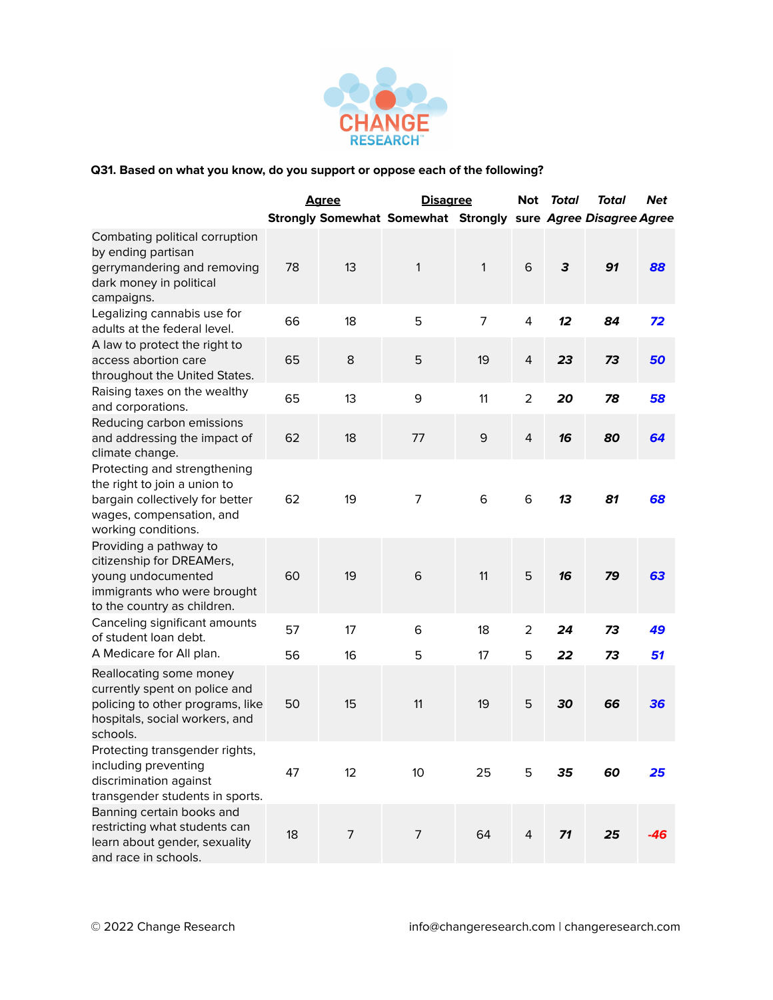

|                                                                                                                                                    |    | <u>Agree</u> | <b>Disagree</b>                                               |              | Not            | Total | Total | <b>Net</b> |
|----------------------------------------------------------------------------------------------------------------------------------------------------|----|--------------|---------------------------------------------------------------|--------------|----------------|-------|-------|------------|
|                                                                                                                                                    |    |              | Strongly Somewhat Somewhat Strongly sure Agree Disagree Agree |              |                |       |       |            |
| Combating political corruption<br>by ending partisan<br>gerrymandering and removing<br>dark money in political<br>campaigns.                       | 78 | 13           | 1                                                             | $\mathbf{1}$ | 6              | 3     | 91    | 88         |
| Legalizing cannabis use for<br>adults at the federal level.                                                                                        | 66 | 18           | 5                                                             | 7            | 4              | 12    | 84    | 72         |
| A law to protect the right to<br>access abortion care<br>throughout the United States.                                                             | 65 | 8            | 5                                                             | 19           | 4              | 23    | 73    | 50         |
| Raising taxes on the wealthy<br>and corporations.                                                                                                  | 65 | 13           | 9                                                             | 11           | $\overline{a}$ | 20    | 78    | 58         |
| Reducing carbon emissions<br>and addressing the impact of<br>climate change.                                                                       | 62 | 18           | 77                                                            | 9            | $\overline{4}$ | 16    | 80    | 64         |
| Protecting and strengthening<br>the right to join a union to<br>bargain collectively for better<br>wages, compensation, and<br>working conditions. | 62 | 19           | 7                                                             | 6            | 6              | 13    | 81    | 68         |
| Providing a pathway to<br>citizenship for DREAMers,<br>young undocumented<br>immigrants who were brought<br>to the country as children.            | 60 | 19           | 6                                                             | 11           | 5              | 16    | 79    | 63         |
| Canceling significant amounts<br>of student loan debt.                                                                                             | 57 | 17           | 6                                                             | 18           | $\overline{2}$ | 24    | 73    | 49         |
| A Medicare for All plan.                                                                                                                           | 56 | 16           | 5                                                             | 17           | 5              | 22    | 73    | 51         |
| Reallocating some money<br>currently spent on police and<br>policing to other programs, like<br>hospitals, social workers, and<br>schools.         | 50 | 15           | 11                                                            | 19           | 5              | 30    | 66    | 36         |
| Protecting transgender rights,<br>including preventing<br>discrimination against<br>transgender students in sports.                                | 47 | 12           | 10 <sup>°</sup>                                               | 25           | 5              | 35    | 60    | 25         |
| Banning certain books and<br>restricting what students can<br>learn about gender, sexuality<br>and race in schools.                                | 18 | 7            | $\overline{7}$                                                | 64           | 4              | 71    | 25    | $-46$      |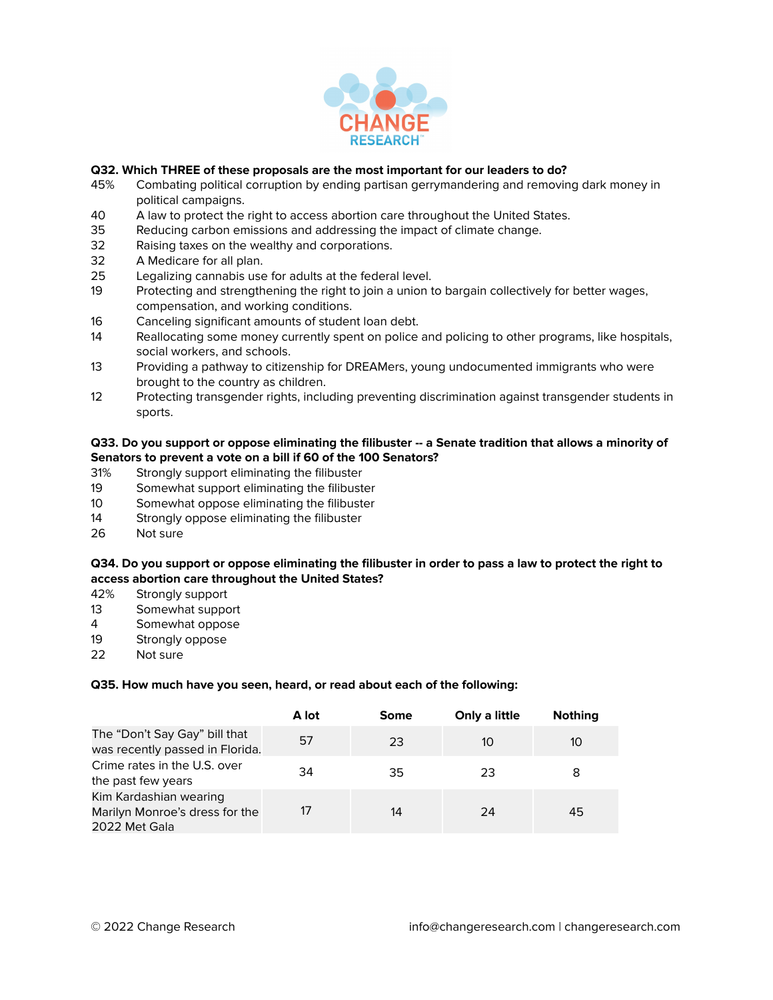

# **Q32. Which THREE of these proposals are the most important for our leaders to do?**

- 45% Combating political corruption by ending partisan gerrymandering and removing dark money in political campaigns.
- 40 A law to protect the right to access abortion care throughout the United States.
- 35 Reducing carbon emissions and addressing the impact of climate change.
- 32 Raising taxes on the wealthy and corporations.
- 32 A Medicare for all plan.
- 25 Legalizing cannabis use for adults at the federal level.
- 19 Protecting and strengthening the right to join a union to bargain collectively for better wages, compensation, and working conditions.
- 16 Canceling significant amounts of student loan debt.
- 14 Reallocating some money currently spent on police and policing to other programs, like hospitals, social workers, and schools.
- 13 Providing a pathway to citizenship for DREAMers, young undocumented immigrants who were brought to the country as children.
- 12 Protecting transgender rights, including preventing discrimination against transgender students in sports.

### Q33. Do you support or oppose eliminating the filibuster -- a Senate tradition that allows a minority of **Senators to prevent a vote on a bill if 60 of the 100 Senators?**

- 31% Strongly support eliminating the filibuster
- 19 Somewhat support eliminating the filibuster
- 10 Somewhat oppose eliminating the filibuster
- 14 Strongly oppose eliminating the filibuster
- 26 Not sure

#### Q34. Do you support or oppose eliminating the filibuster in order to pass a law to protect the right to **access abortion care throughout the United States?**

- 42% Strongly support
- 13 Somewhat support
- 4 Somewhat oppose
- 19 Strongly oppose
- 22 Not sure

#### **Q35. How much have you seen, heard, or read about each of the following:**

|                                                                           | A lot | <b>Some</b> | Only a little | <b>Nothing</b> |
|---------------------------------------------------------------------------|-------|-------------|---------------|----------------|
| The "Don't Say Gay" bill that<br>was recently passed in Florida.          | .57   | 23          | 10            | 10             |
| Crime rates in the U.S. over<br>the past few years                        | 34    | 35          | 23            |                |
| Kim Kardashian wearing<br>Marilyn Monroe's dress for the<br>2022 Met Gala | 17    | 14          | 24            | 45             |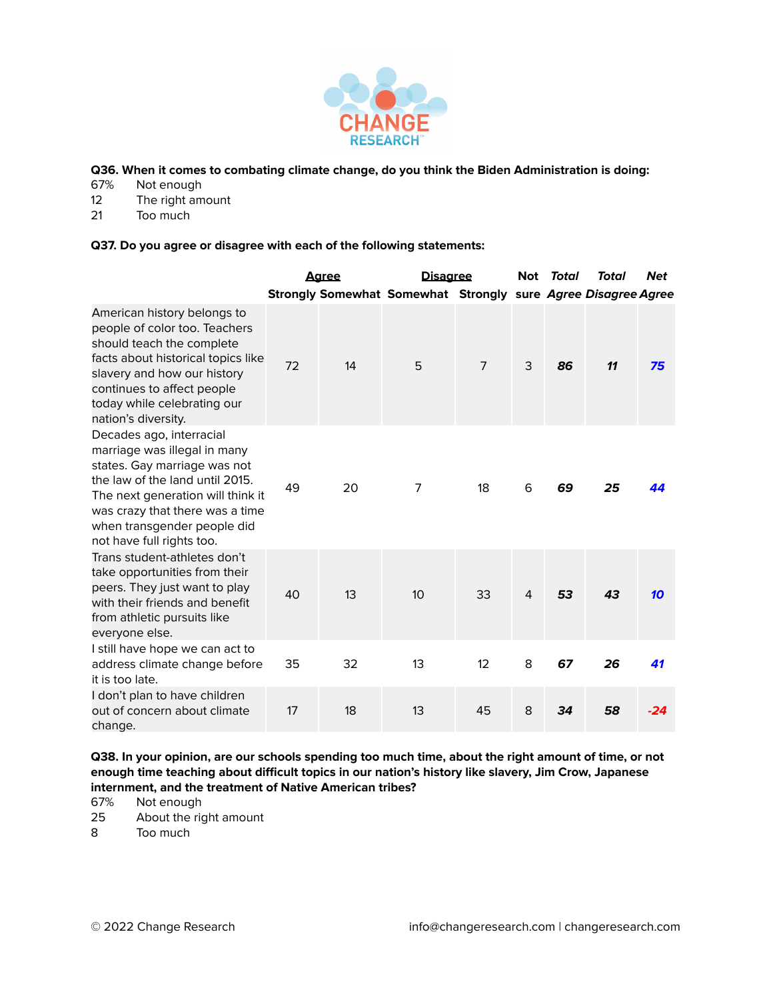

**Q36. When it comes to combating climate change, do you think the Biden Administration is doing:**

- 67% Not enough
- 12 The right amount<br>21 Too much
- Too much

#### **Q37. Do you agree or disagree with each of the following statements:**

|                                                                                                                                                                                                                                                                 |    | <u>Agree</u> | <b>Disagree</b>                                               |                | Not | Total | Total | <b>Net</b> |
|-----------------------------------------------------------------------------------------------------------------------------------------------------------------------------------------------------------------------------------------------------------------|----|--------------|---------------------------------------------------------------|----------------|-----|-------|-------|------------|
|                                                                                                                                                                                                                                                                 |    |              | Strongly Somewhat Somewhat Strongly sure Agree Disagree Agree |                |     |       |       |            |
| American history belongs to<br>people of color too. Teachers<br>should teach the complete<br>facts about historical topics like<br>slavery and how our history<br>continues to affect people<br>today while celebrating our<br>nation's diversity.              | 72 | 14           | 5                                                             | $\overline{7}$ | 3   | 86    | 11    | 75         |
| Decades ago, interracial<br>marriage was illegal in many<br>states. Gay marriage was not<br>the law of the land until 2015.<br>The next generation will think it<br>was crazy that there was a time<br>when transgender people did<br>not have full rights too. | 49 | 20           | 7                                                             | 18             | 6   | 69    | 25    | 44         |
| Trans student-athletes don't<br>take opportunities from their<br>peers. They just want to play<br>with their friends and benefit<br>from athletic pursuits like<br>everyone else.                                                                               | 40 | 13           | 10                                                            | 33             | 4   | 53    | 43    | 10         |
| I still have hope we can act to<br>address climate change before<br>it is too late.                                                                                                                                                                             | 35 | 32           | 13                                                            | 12             | 8   | 67    | 26    | 41         |
| I don't plan to have children<br>out of concern about climate<br>change.                                                                                                                                                                                        | 17 | 18           | 13                                                            | 45             | 8   | 34    | 58    | $-24$      |

Q38. In your opinion, are our schools spending too much time, about the right amount of time, or not **enough time teaching about difficult topics in our nation's history like slavery, Jim Crow, Japanese internment, and the treatment of Native American tribes?**

- 67% Not enough
- 25 About the right amount<br>8 Too much
- Too much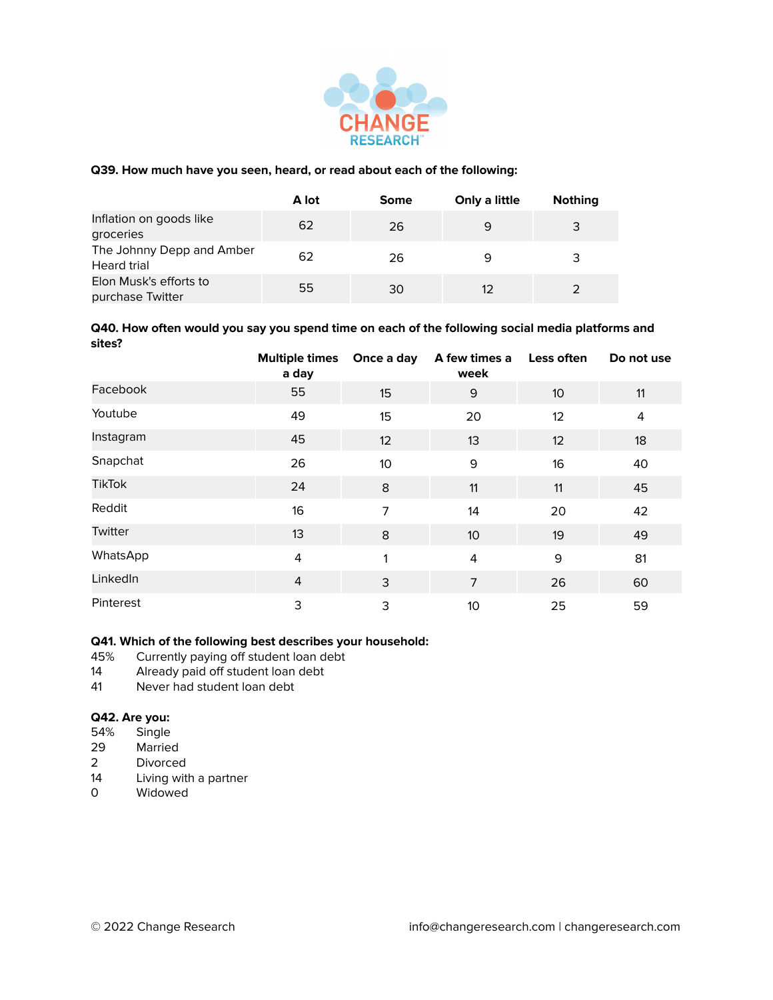

### **Q39. How much have you seen, heard, or read about each of the following:**

|                                                 | A lot | Some | Only a little | <b>Nothing</b> |
|-------------------------------------------------|-------|------|---------------|----------------|
| Inflation on goods like<br>groceries            | 62    | 26   | 9             | 3              |
| The Johnny Depp and Amber<br><b>Heard trial</b> | 62    | 26   | 9             | 3              |
| Elon Musk's efforts to<br>purchase Twitter      | 55    | 30   | 12            |                |

#### **Q40. How often would you say you spend time on each of the following social media platforms and sites?**

|               | Multiple times Once a day<br>a day |    | A few times a<br>week | Less often      | Do not use |
|---------------|------------------------------------|----|-----------------------|-----------------|------------|
| Facebook      | 55                                 | 15 | 9                     | 10 <sup>°</sup> | 11         |
| Youtube       | 49                                 | 15 | 20                    | 12              | 4          |
| Instagram     | 45                                 | 12 | 13                    | 12              | 18         |
| Snapchat      | 26                                 | 10 | 9                     | 16              | 40         |
| <b>TikTok</b> | 24                                 | 8  | 11                    | 11              | 45         |
| Reddit        | 16                                 | 7  | 14                    | 20              | 42         |
| Twitter       | 13                                 | 8  | 10                    | 19              | 49         |
| WhatsApp      | 4                                  | 1  | 4                     | 9               | 81         |
| LinkedIn      | $\overline{4}$                     | 3  | 7                     | 26              | 60         |
| Pinterest     | 3                                  | 3  | 10                    | 25              | 59         |

# **Q41. Which of the following best describes your household:**

- 45% Currently paying off student loan debt<br>14 Already paid off student loan debt
- 14 Already paid off student loan debt<br>41 Never had student loan debt
- Never had student loan debt

# **Q42. Are you:**

- Single
- 29 Married
- 2 Divorced<br>14 Living wit
- 14 Living with a partner<br>0 Widowed
- Widowed